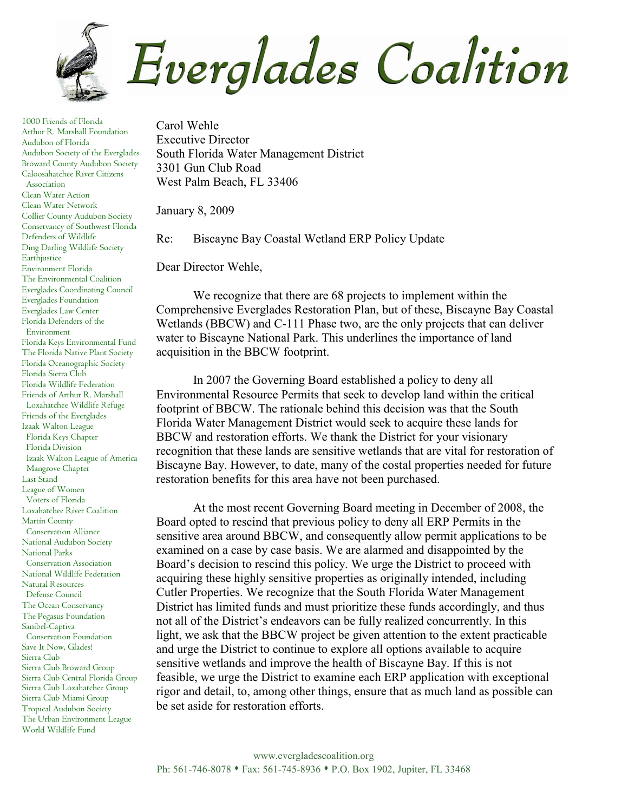

1000 Friends of Florida Arthur R. Marshall Foundation Audubon of Florida Audubon Society of the Everglades Broward County Audubon Society Caloosahatchee River Citizens Association Clean Water Action Clean Water Network Collier County Audubon Society Conservancy of Southwest Florida Defenders of Wildlife Ding Darling Wildlife Society Earthjustice Environment Florida The Environmental Coalition Everglades Coordinating Council Everglades Foundation Everglades Law Center Florida Defenders of the Environment Florida Keys Environmental Fund The Florida Native Plant Society Florida Oceanographic Society Florida Sierra Club Florida Wildlife Federation Friends of Arthur R. Marshall Loxahatchee Wildlife Refuge Friends of the Everglades Izaak Walton League Florida Keys Chapter Florida Division Izaak Walton League of America Mangrove Chapter Last Stand League of Women Voters of Florida Loxahatchee River Coalition Martin County Conservation Alliance National Audubon Society National Parks Conservation Association National Wildlife Federation Natural Resources Defense Council The Ocean Conservancy The Pegasus Foundation Sanibel-Captiva Conservation Foundation Save It Now, Glades! Sierra Club Sierra Club Broward Group Sierra Club Central Florida Group Sierra Club Loxahatchee Group Sierra Club Miami Group Tropical Audubon Society The Urban Environment League World Wildlife Fund

Carol Wehle Executive Director South Florida Water Management District 3301 Gun Club Road West Palm Beach, FL 33406

January 8, 2009

Re: Biscayne Bay Coastal Wetland ERP Policy Update

Dear Director Wehle,

 We recognize that there are 68 projects to implement within the Comprehensive Everglades Restoration Plan, but of these, Biscayne Bay Coastal Wetlands (BBCW) and C-111 Phase two, are the only projects that can deliver water to Biscayne National Park. This underlines the importance of land acquisition in the BBCW footprint.

In 2007 the Governing Board established a policy to deny all Environmental Resource Permits that seek to develop land within the critical footprint of BBCW. The rationale behind this decision was that the South Florida Water Management District would seek to acquire these lands for BBCW and restoration efforts. We thank the District for your visionary recognition that these lands are sensitive wetlands that are vital for restoration of Biscayne Bay. However, to date, many of the costal properties needed for future restoration benefits for this area have not been purchased.

At the most recent Governing Board meeting in December of 2008, the Board opted to rescind that previous policy to deny all ERP Permits in the sensitive area around BBCW, and consequently allow permit applications to be examined on a case by case basis. We are alarmed and disappointed by the Board's decision to rescind this policy. We urge the District to proceed with acquiring these highly sensitive properties as originally intended, including Cutler Properties. We recognize that the South Florida Water Management District has limited funds and must prioritize these funds accordingly, and thus not all of the District's endeavors can be fully realized concurrently. In this light, we ask that the BBCW project be given attention to the extent practicable and urge the District to continue to explore all options available to acquire sensitive wetlands and improve the health of Biscayne Bay. If this is not feasible, we urge the District to examine each ERP application with exceptional rigor and detail, to, among other things, ensure that as much land as possible can be set aside for restoration efforts.